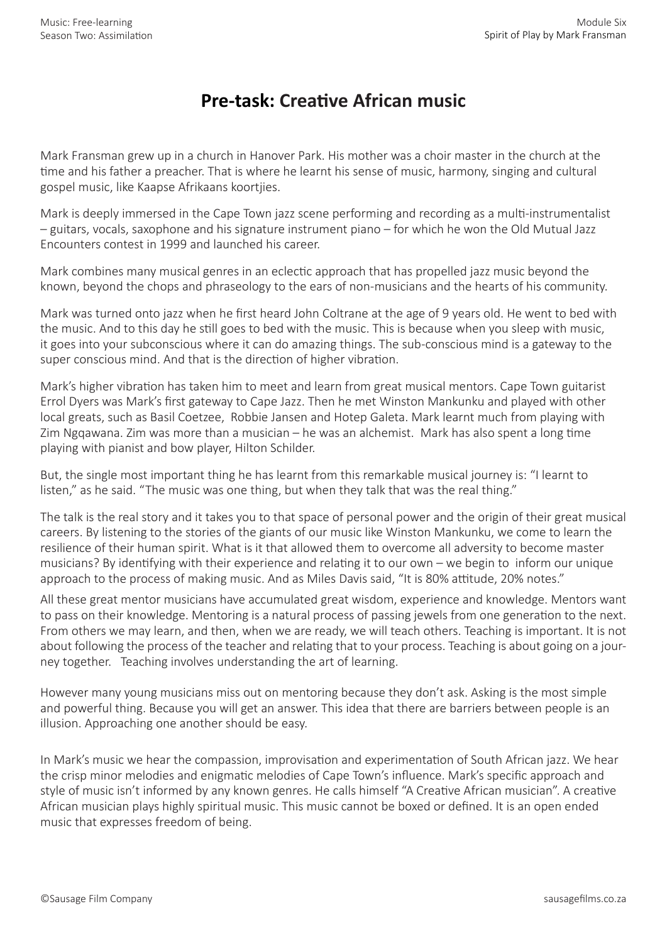## **Pre-task: Creative African music**

Mark Fransman grew up in a church in Hanover Park. His mother was a choir master in the church at the time and his father a preacher. That is where he learnt his sense of music, harmony, singing and cultural gospel music, like Kaapse Afrikaans koortjies.

Mark is deeply immersed in the Cape Town jazz scene performing and recording as a multi-instrumentalist – guitars, vocals, saxophone and his signature instrument piano – for which he won the Old Mutual Jazz Encounters contest in 1999 and launched his career.

Mark combines many musical genres in an eclectic approach that has propelled jazz music beyond the known, beyond the chops and phraseology to the ears of non-musicians and the hearts of his community.

Mark was turned onto jazz when he first heard John Coltrane at the age of 9 years old. He went to bed with the music. And to this day he still goes to bed with the music. This is because when you sleep with music, it goes into your subconscious where it can do amazing things. The sub-conscious mind is a gateway to the super conscious mind. And that is the direction of higher vibration.

Mark's higher vibration has taken him to meet and learn from great musical mentors. Cape Town guitarist Errol Dyers was Mark's first gateway to Cape Jazz. Then he met Winston Mankunku and played with other local greats, such as Basil Coetzee, Robbie Jansen and Hotep Galeta. Mark learnt much from playing with Zim Ngqawana. Zim was more than a musician – he was an alchemist. Mark has also spent a long time playing with pianist and bow player, Hilton Schilder.

But, the single most important thing he has learnt from this remarkable musical journey is: "I learnt to listen," as he said. "The music was one thing, but when they talk that was the real thing."

The talk is the real story and it takes you to that space of personal power and the origin of their great musical careers. By listening to the stories of the giants of our music like Winston Mankunku, we come to learn the resilience of their human spirit. What is it that allowed them to overcome all adversity to become master musicians? By identifying with their experience and relating it to our own – we begin to inform our unique approach to the process of making music. And as Miles Davis said, "It is 80% attitude, 20% notes."

All these great mentor musicians have accumulated great wisdom, experience and knowledge. Mentors want to pass on their knowledge. Mentoring is a natural process of passing jewels from one generation to the next. From others we may learn, and then, when we are ready, we will teach others. Teaching is important. It is not about following the process of the teacher and relating that to your process. Teaching is about going on a journey together. Teaching involves understanding the art of learning.

However many young musicians miss out on mentoring because they don't ask. Asking is the most simple and powerful thing. Because you will get an answer. This idea that there are barriers between people is an illusion. Approaching one another should be easy.

In Mark's music we hear the compassion, improvisation and experimentation of South African jazz. We hear the crisp minor melodies and enigmatic melodies of Cape Town's influence. Mark's specific approach and style of music isn't informed by any known genres. He calls himself "A Creative African musician". A creative African musician plays highly spiritual music. This music cannot be boxed or defined. It is an open ended music that expresses freedom of being.